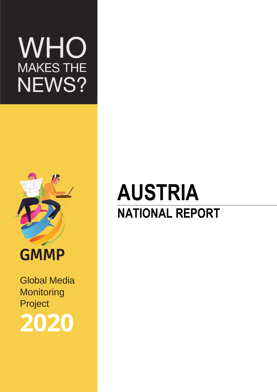# WHO MAKES THE<br>NEWS?



Global Media Global Media Monitoring Monitoring Project Project **2020 2020**

# **AUSTRIA NATIONAL REPORT**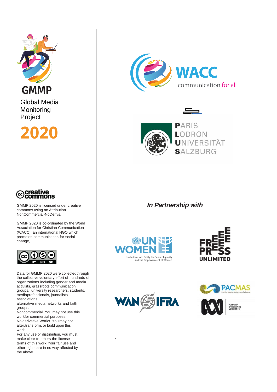

Global Media **Monitoring** Project

**2020**



GMMP 2020 is licensed under creative commons using an Attribution-NonCommercial-NoDerivs.

GMMP 2020 is co-ordinated by the World Association for Christian Communication (WACC), an international NGO which promotes communication for social change,.



Data for GMMP 2020 were collectedthrough the collective voluntary effort of hundreds of organizations including gender and media activists, grassroots communication groups, university researchers, students, mediaprofessionals, journalists associations,

alternative media networks and faith groups.

Noncommercial. You may not use this workfor commercial purposes. No derivative Works. You may not alter,transform, or build upon this work.

For any use or distribution, you must make clear to others the license terms of this work.Your fair use and other rights are in no way affected by the above





—

*In Partnership with*







.

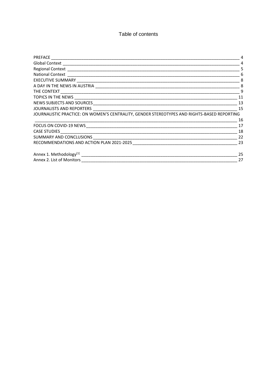Table of contents

|                                                                                             | 4   |
|---------------------------------------------------------------------------------------------|-----|
|                                                                                             | .5  |
|                                                                                             | 6   |
|                                                                                             |     |
|                                                                                             |     |
|                                                                                             |     |
|                                                                                             | 11  |
|                                                                                             | 13  |
|                                                                                             | 15  |
| JOURNALISTIC PRACTICE: ON WOMEN'S CENTRALITY, GENDER STEREOTYPES AND RIGHTS-BASED REPORTING |     |
|                                                                                             | 16  |
|                                                                                             | 17  |
|                                                                                             | -18 |
|                                                                                             | -22 |
|                                                                                             | -23 |
|                                                                                             | 25  |
|                                                                                             | 27  |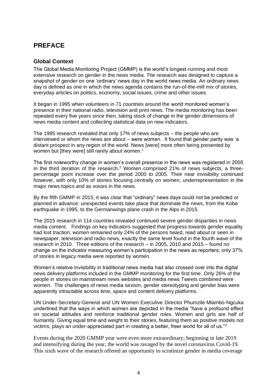# <span id="page-3-0"></span>**PREFACE**

# <span id="page-3-1"></span>**Global Context**

The Global Media Monitoring Project (GMMP) is the world's longest-running and most extensive research on gender in the news media. The research was designed to capture a snapshot of gender on one 'ordinary' news day in the world news media. An ordinary news day is defined as one in which the news agenda contains the run-of-the-mill mix of stories, everyday articles on politics, economy, social issues, crime and other issues.

It began in 1995 when volunteers in 71 countries around the world monitored women's presence in their national radio, television and print news. The media monitoring has been repeated every five years since then, taking stock of change in the gender dimensions of news media content and collecting statistical data on new indicators.

The 1995 research revealed that only 17% of news subjects – the people who are interviewed or whom the news are about – were women. It found that gender parity was 'a distant prospect in any region of the world. News [were] more often being presented by women but [they were] still rarely about women.<sup>1</sup>

The first noteworthy change in women's overall presence in the news was registered in 2005 in the third iteration of the research.<sup>2</sup> Women comprised 21% of news subjects, a threepercentage point increase over the period 2000 to 2005. Their near invisibility continued however, with only 10% of stories focusing centrally on women, underrepresentation in the major news topics and as voices in the news.

By the fifth GMMP in 2015, it was clear that "ordinary" news days could not be predicted or planned in advance: unexpected events take place that dominate the news, from the Kobe earthquake in 1995, to the Germanwings plane crash in the Alps in 2015.

The 2015 research in 114 countries revealed continued severe gender disparities in news media content. Findings on key indicators suggested that progress towards gender equality had lost traction; women remained only 24% of the persons heard, read about or seen in newspaper, television and radio news, exactly the same level found in the fourth wave of the research in 2010. Three editions of the research – in 2005, 2010 and 2015 – found no change on the indicator measuring women's participation in the news as reporters; only 37% of stories in legacy media were reported by women.

Women's relative invisibility in traditional news media had also crossed over into the digital news delivery platforms included in the GMMP monitoring for the first time. Only 26% of the people in stories on mainstream news websites and media news Tweets combined were women. The challenges of news media sexism, gender stereotyping and gender bias were apparently intractable across time, space and content delivery platforms.

UN Under-Secretary-General and UN Women Executive Director Phumzile Mlambo-Ngcuka underlined that the ways in which women are depicted in the media "have a profound effect on societal attitudes and reinforce traditional gender roles. Women and girls are half of humanity. Giving equal time and weight to their stories, featuring them as positive models not victims, plays an under-appreciated part in creating a better, freer world for all of us." $3$ 

Events during the 2020 GMMP year were even more extraordinary; beginning in late 2019 and intensifying during the year, the world was ravaged by the novel coronavirus Covid-19. This sixth wave of the research offered an opportunity to scrutinize gender in media coverage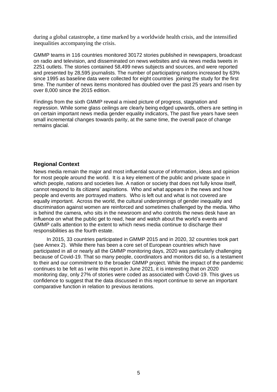during a global catastrophe, a time marked by a worldwide health crisis, and the intensified inequalities accompanying the crisis.

GMMP teams in 116 countries monitored 30172 stories published in newspapers, broadcast on radio and television, and disseminated on news websites and via news media tweets in 2251 outlets. The stories contained 58,499 news subjects and sources, and were reported and presented by 28,595 journalists. The number of participating nations increased by 63% since 1995 as baseline data were collected for eight countries joining the study for the first time. The number of news items monitored has doubled over the past 25 years and risen by over 8,000 since the 2015 edition.

Findings from the sixth GMMP reveal a mixed picture of progress, stagnation and regression. While some glass ceilings are clearly being edged upwards, others are setting in on certain important news media gender equality indicators, The past five years have seen small incremental changes towards parity, at the same time, the overall pace of change remains glacial.

#### <span id="page-4-0"></span>**Regional Context**

News media remain the major and most influential source of information, ideas and opinion for most people around the world. It is a key element of the public and private space in which people, nations and societies live. A nation or society that does not fully know itself, cannot respond to its citizens' aspirations. Who and what appears in the news and how people and events are portrayed matters. Who is left out and what is not covered are equally important. Across the world, the cultural underpinnings of gender inequality and discrimination against women are reinforced and sometimes challenged by the media. Who is behind the camera, who sits in the newsroom and who controls the news desk have an influence on what the public get to read, hear and watch about the world's events and GMMP calls attention to the extent to which news media continue to discharge their responsibilities as the fourth estate.

In 2015, 33 countries participated in GMMP 2015 and in 2020, 32 countries took part (see Annex 2). While there has been a core set of European countries which have participated in all or nearly all the GMMP monitoring days, 2020 was particularly challenging because of Covid-19. That so many people, coordinators and monitors did so, is a testament to their and our commitment to the broader GMMP project. While the impact of the pandemic continues to be felt as I write this report in June 2021, it is interesting that on 2020 monitoring day, only 27% of stories were coded as associated with Covid-19. This gives us confidence to suggest that the data discussed in this report continue to serve an important comparative function in relation to previous iterations.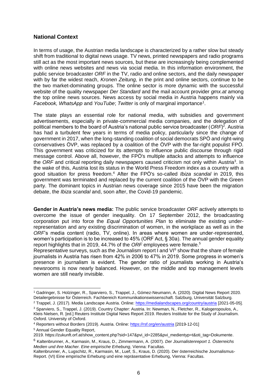# <span id="page-5-0"></span>**National Context**

In terms of usage, the Austrian media landscape is characterized by a rather slow but steady shift from traditional to digital news usage. TV news, printed newspapers and radio programs still act as the most important news sources, but these are increasingly being complemented with online news websites and news via social media. In this information environment, the public service broadcaster *ORF* in the TV, radio and online sectors, and the daily newspaper with by far the widest reach, *Kronen Zeitung,* in the print and online sectors, continue to be the two market-dominating groups. The online sector is more dynamic with the successful website of the quality newspaper *Der Standard* and the mail account provider *gmx.at* among the top online news sources. News access by social media in Austria happens mainly via Facebook, WhatsApp and YouTube; Twitter is only of marginal importance<sup>1</sup>.

The state plays an essential role for national media, with subsidies and government advertisements, especially in private-commercial media companies, and the delegation of political members to the board of Austria's national public service broadcaster (*ORF*) 2 . Austria has had a turbulent few years in terms of media policy, particularly since the change of government in 2017, when the long-standing coalition of social democrats SPÖ and right-wing conservatives ÖVP, was replaced by a coalition of the ÖVP with the far-right populist FPÖ. This government was criticized for its attempts to influence public discourse through rigid message control. Above all, however, the FPÖ's multiple attacks and attempts to influence the ORF and critical reporting daily newspapers caused criticism not only within Austria<sup>3</sup>. In the wake of this, Austria lost its status in the World Press Freedom index as a country with a good situation for press freedom.<sup>4</sup> After the FPÖ's so-called *Ibiza scandal* in 2019, this government was terminated and replaced by the current coalition of the ÖVP with the Green party. The dominant topics in Austrian news coverage since 2015 have been the migration debate, the *Ibiza scandal* and, soon after, the Covid-19 pandemic.

**Gender in Austria's news media:** The public service broadcaster *ORF* actively attempts to overcome the issue of gender inequality. On 17 September 2012, the broadcasting corporation put into force the *Equal Opportunities Plan* to eliminate the existing underrepresentation and any existing discrimination of women, in the workplace as well as in the *ORF*'s media content (radio, TV, online). In areas where women are under-represented, women's participation is to be increased to 45% (ORF Act, § 30a). The annual gender equality report highlights that in 2019, 44.7% of the *ORF* employees were female.<sup>5</sup>

Representative surveys, such as the Journalism report I and  $VI<sup>6</sup>$  show that the share of female journalists in Austria has risen from 42% in 2006 to 47% in 2019. Some progress in women's presence in journalism is evident. The gender ratio of journalists working in Austria's newsrooms is now nearly balanced. However, on the middle and top management levels women are still nearly invisible.

<sup>1</sup> Gadringer, S. Holzinger, R., Sparviero, S., Trappel, J., Gómez-Neumann, A. (2020). Digital News Report 2020. Detailergebnisse für Österreich. Fachbereich Kommunikationswissenschaft. Salzburg, Universität Salzburg.

<sup>2</sup> Trappel, J. (2017). Media Landscape Austria. Online:<https://medialandscapes.org/country/austria> [2021-05-05].

<sup>3</sup> Sparviero, S., Trappel, J. (2019). Country Chapter: Austria. In: Newman, N., Fletcher, R., Kalogeropoulos, A., Kleis Nielsen, R. [ed.] Reuters Institute Digital News Report 2019. Reuters Institute for the Study of Journalism. Oxford. University of Oxford.

<sup>4</sup> Reporters without Borders (2019). Austria. Online:<https://rsf.org/en/austria> [2019-12-01] <sup>5</sup> Annual Gender Equality Report,

<sup>2019.</sup> [https://zukunft.orf.at/show\\_content.php?sid=147&pvi\\_id=2285&pvi\\_medientyp=t&oti\\_tag=Dokumente.](https://zukunft.orf.at/show_content.php?sid=147&pvi_id=2285&pvi_medientyp=t&oti_tag=Dokumente)

<sup>6</sup> Kaltenbrunner, A., Karmasin, M., Kraus, D., Zimmermann, A. (2007). *Der Journalistenreport 1. Österreichs Medien und ihre Macher. Eine empirische Erhebung*, Vienna: Facultas.

Kaltenbrunner, A., Lugschitz, R., Karmasin, M., Luef, S., Kraus, D. (2020). Der österreichische Journalismus-Report. (VI) Eine empirische Erhebung und eine repräsentative Erhebung, Vienna: Facultas.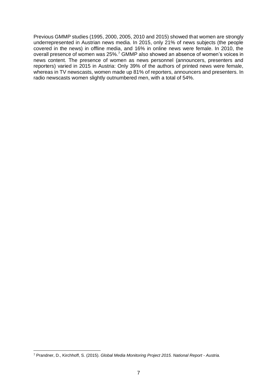Previous GMMP studies (1995, 2000, 2005, 2010 and 2015) showed that women are strongly underrepresented in Austrian news media. In 2015, only 21% of news subjects (the people covered in the news) in offline media, and 16% in online news were female. In 2010, the overall presence of women was 25%.<sup>7</sup> GMMP also showed an absence of women's voices in news content. The presence of women as news personnel (announcers, presenters and reporters) varied in 2015 in Austria: Only 39% of the authors of printed news were female, whereas in TV newscasts, women made up 81% of reporters, announcers and presenters. In radio newscasts women slightly outnumbered men, with a total of 54%.

<sup>7</sup> Prandner, D., Kirchhoff, S. (2015). *Global Media Monitoring Project 2015. National Report - Austria.*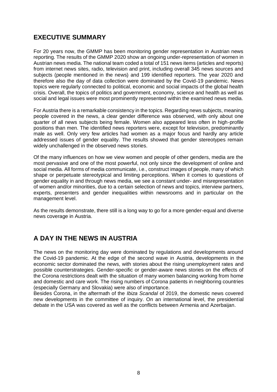# <span id="page-7-0"></span>**EXECUTIVE SUMMARY**

For 20 years now, the GMMP has been monitoring gender representation in Austrian news reporting. The results of the GMMP 2020 show an ongoing under-representation of women in Austrian news media. The national team coded a total of 151 news items (articles and reports) from internet news sites, radio, television and print, including overall 345 news sources and subjects (people mentioned in the news) and 199 identified reporters. The year 2020 and therefore also the day of data collection were dominated by the Covid-19 pandemic. News topics were regularly connected to political, economic and social impacts of the global health crisis. Overall, the topics of politics and government, economy, science and health as well as social and legal issues were most prominently represented within the examined news media.

For Austria there is a remarkable consistency in the topics. Regarding news subjects, meaning people covered in the news, a clear gender difference was observed, with only about one quarter of all news subjects being female. Women also appeared less often in high-profile positions than men. The identified news reporters were, except for television, predominantly male as well. Only very few articles had women as a major focus and hardly any article addressed issues of gender equality. The results showed that gender stereotypes remain widely unchallenged in the observed news stories.

Of the many influences on how we view women and people of other genders, media are the most pervasive and one of the most powerful, not only since the development of online and social media. All forms of media communicate, i.e., construct images of people, many of which shape or perpetuate stereotypical and limiting perceptions. When it comes to questions of gender equality in and through news media, we see a constant under- and misrepresentation of women and/or minorities, due to a certain selection of news and topics, interview partners, experts, presenters and gender inequalities within newsrooms and in particular on the management level.

As the results demonstrate, there still is a long way to go for a more gender-equal and diverse news coverage in Austria.

# <span id="page-7-1"></span>**A DAY IN THE NEWS IN AUSTRIA**

The news on the monitoring day were dominated by regulations and developments around the Covid-19 pandemic. At the edge of the second wave in Austria, developments in the economic sector dominated the news, with stories about the rising unemployment rates and possible counterstrategies. Gender-specific or gender-aware news stories on the effects of the Corona restrictions dealt with the situation of many women balancing working from home and domestic and care work. The rising numbers of Corona patients in neighboring countries (especially Germany and Slovakia) were also of importance.

Besides Corona, in the aftermath of the *Ibiza Scandal* of 2019, the domestic news covered new developments in the committee of inquiry. On an international level, the presidential debate in the USA was covered as well as the conflicts between Armenia and Azerbaijan.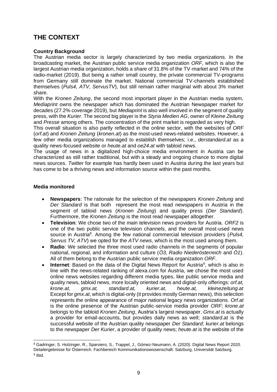# <span id="page-8-0"></span>**THE CONTEXT**

# **Country Background**

The Austrian media sector is largely characterized by two media organizations. In the broadcasting market, the Austrian public service media organization *ORF*, which is also the largest Austrian media organization, holds a share of 31.8% of the TV-market and 74% of the radio-market (2019). But being a rather small country, the private commercial TV-programs from Germany still dominate the market. National commercial TV-channels established themselves (*Puls4, ATV, ServusTV*), but still remain rather marginal with about 3% market share.

With the *Kronen Zeitung*, the second most important player in the Austrian media system, *Mediaprint* owns the newspaper which has dominated the Austrian Newspaper market for decades (27.2% coverage 2019), but *Mediaprint* is also well involved in the segment of quality press, with the *Kurier*. The second big player is the *Styria Medien AG*, owner of *Kleine Zeitung* and *Presse* among others. The concentration of the print market is regarded as very high.

This overall situation is also partly reflected in the online sector, with the websites of *ORF* (*orf.at*) and *Kronen Zeitung* (*kronen.at*) as the most-used news-related websites. However, a few other media organizations managed to establish themselves; i.e., *derstandard.at* as a quality news-focused website or *heute.at* and *oe24.at* with tabloid news.

The usage of news in a digitalized high-choice media environment in Austria can be characterized as still rather traditional, but with a steady and ongoing chance to more digital news sources. *Twitter* for example has hardly been used in Austria during the last years but has come to be a thriving news and information source within the past months.

# **Media monitored**

- **Newspapers**: The rationale for the selection of the newspapers *Kronen Zeitung* and *Der Standard* is that both represent the most read newspapers in Austria in the segment of tabloid news (*Kronen Zeitung*) and quality press (*Der Standard*). Furthermore, the *Kronen Zeitung* is the most read newspaper altogether.
- **Television**: We chose two of the main television news providers for Austria. *ORF2* is one of the two public service television channels, and the overall most-used news source in Austria<sup>8</sup>. Among the few national commercial television providers (Puls4, *Servus TV, ATV*) we opted for the *ATV news*, which is the most used among them.
- **Radio**: We selected the three most used radio channels in the segments of popular national, regional, and information and culture (*Ö3, Radio Niederösterreich* and *Ö1*). All of them belong to the Austrian public service media organization *ORF*.
- Internet: Based on the data of the Digital News Report for Austria<sup>9</sup>, which is also in line with the news-related ranking of alexa.com for Austria, we chose the most used online news websites regarding different media types, like public service media and quality news, tabloid news, more locally oriented news and digital-only offerings: *orf.at, krone.at, gmx.at, standard.at, kurier.at, heute.at, kleinezeitung.at* Except for *gmx.at*, which is digital-only (it provides mostly German news), this selection represents the online appearance of major national legacy news organizations. *Orf.at* is the online presence of the Austrian public-service media provider *ORF*; *krone.at* belongs to the tabloid *Kronen Zeitung*, Austria's largest newspaper. *Gmx.at* is actually a provider for email-accounts, but provides daily news as well; *standard.at* is the successful website of the Austrian quality newspaper *Der Standard*; *kurier.at* belongs to the newspaper *Der Kurier*, a provider of quality news; *heute.at* is the website of the

<sup>8</sup> Gadringer, S. Holzinger, R., Sparviero, S., Trappel, J., Gómez-Neumann, A. (2020). Digital News Report 2020. Detailergebnisse für Österreich. Fachbereich Kommunikationswissenschaft. Salzburg, Universität Salzburg. <sup>9</sup> Ibid.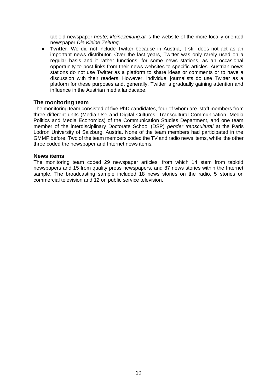tabloid newspaper *heute*; *kleinezeitung.at* is the website of the more locally oriented newspaper *Die Kleine Zeitung*.

• **Twitter**: We did not include Twitter because in Austria, it still does not act as an important news distributor. Over the last years, Twitter was only rarely used on a regular basis and it rather functions, for some news stations, as an occasional opportunity to post links from their news websites to specific articles. Austrian news stations do not use Twitter as a platform to share ideas or comments or to have a discussion with their readers. However, individual journalists do use Twitter as a platform for these purposes and, generally, Twitter is gradually gaining attention and influence in the Austrian media landscape.

# **The monitoring team**

The monitoring team consisted of five PhD candidates, four of whom are staff members from three different units (Media Use and Digital Cultures, Transcultural Communication, Media Politics and Media Economics) of the Communication Studies Department, and one team member of the interdisciplinary Doctorate School (DSP) *gender transcultural* at the Paris Lodron University of Salzburg, Austria. None of the team members had participated in the GMMP before. Two of the team members coded the TV and radio news items, while the other three coded the newspaper and Internet news items.

# **News items**

The monitoring team coded 29 newspaper articles, from which 14 stem from tabloid newspapers and 15 from quality press newspapers, and 87 news stories within the Internet sample. The broadcasting sample included 18 news stories on the radio, 5 stories on commercial television and 12 on public service television.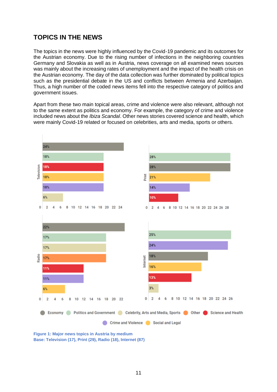# <span id="page-10-0"></span>**TOPICS IN THE NEWS**

The topics in the news were highly influenced by the Covid-19 pandemic and its outcomes for the Austrian economy. Due to the rising number of infections in the neighboring countries Germany and Slovakia as well as in Austria, news coverage on all examined news sources was mainly about the increasing rates of unemployment and the impact of the health crisis on the Austrian economy. The day of the data collection was further dominated by political topics such as the presidential debate in the US and conflicts between Armenia and Azerbaijan. Thus, a high number of the coded news items fell into the respective category of politics and government issues.

Apart from these two main topical areas, crime and violence were also relevant, although not to the same extent as politics and economy. For example, the category of crime and violence included news about the *Ibiza Scandal*. Other news stories covered science and health, which were mainly Covid-19 related or focused on celebrities, arts and media, sports or others.



**Figure 1: Major news topics in Austria by medium Base: Television (17), Print (29), Radio (18), Internet (87)**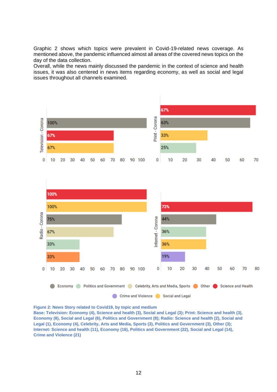Graphic 2 shows which topics were prevalent in Covid-19-related news coverage. As mentioned above, the pandemic influenced almost all areas of the covered news topics on the day of the data collection.

Overall, while the news mainly discussed the pandemic in the context of science and health issues, it was also centered in news items regarding economy, as well as social and legal issues throughout all channels examined.



**Figure 2: News Story related to Covid19, by topic and medium**

**Base: Television: Economy (4), Science and health (3), Social and Legal (3); Print: Science and health (3), Economy (8), Social and Legal (6), Politics and Government (8); Radio: Science and health (2), Social and Legal (1), Economy (4), Celebrity, Arts and Media, Sports (3), Politics and Government (3), Other (3); Internet: Science and health (11), Economy (16), Politics and Government (22), Social and Legal (14), Crime and Violence (21)**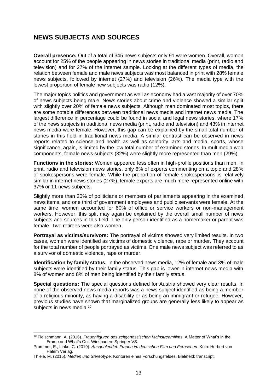# <span id="page-12-0"></span>**NEWS SUBJECTS AND SOURCES**

**Overall presence:** Out of a total of 345 news subjects only 91 were women. Overall, women account for 25% of the people appearing in news stories in traditional media (print, radio and television) and for 27% of the internet sample. Looking at the different types of media, the relation between female and male news subjects was most balanced in print with 28% female news subjects, followed by internet (27%) and television (26%). The media type with the lowest proportion of female new subjects was radio (12%).

The major topics politics and government as well as economy had a vast majority of over 70% of news subjects being male. News stories about crime and violence showed a similar split with slightly over 20% of female news subjects. Although men dominated most topics, there are some notable differences between traditional news media and internet news media. The largest difference in percentage could be found in social and legal news stories, where 17% of the news subjects in traditional news media (print, radio and television) and 43% in internet news media were female. However, this gap can be explained by the small total number of stories in this field in traditional news media. A similar contrast can be observed in news reports related to science and health as well as celebrity, arts and media, sports, whose significance, again, is limited by the low total number of examined stories. In multimedia web components, female news subjects (32%) were slightly more represented than men (29%).

**Functions in the stories:** Women appeared less often in high-profile positions than men. In print, radio and television news stories, only 6% of experts commenting on a topic and 28% of spokespersons were female. While the proportion of female spokespersons is relatively similar in internet news stories (27%), female experts are much more represented online with 37% or 11 news subjects.

Slightly more than 20% of politicians or members of parliaments appearing in the examined news items, and one third of government employees and public servants were female. At the same time, women accounted for 60% of office or service workers or non-management workers. However, this split may again be explained by the overall small number of news subjects and sources in this field. The only person identified as a homemaker or parent was female. Two retirees were also women.

**Portrayal as victims/survivors:** The portrayal of victims showed very limited results. In two cases, women were identified as victims of domestic violence, rape or murder. They account for the total number of people portrayed as victims. One male news subject was referred to as a survivor of domestic violence, rape or murder.

**Identification by family status:** In the observed news media, 12% of female and 3% of male subjects were identified by their family status. This gap is lower in internet news media with 8% of women and 8% of men being identified by their family status.

**Special questions:** The special questions defined for Austria showed very clear results. In none of the observed news media reports was a news subject identified as being a member of a religious minority, as having a disability or as being an immigrant or refugee. However, previous studies have shown that marginalized groups are generally less likely to appear as subjects in news media.<sup>10</sup>

<sup>10</sup> Fleischmann, A. (2016). *Frauenfiguren des zeitgenössischen Mainstreamfilms*. A Matter of What's in the Frame and What's Out. Wiesbaden: Springer VS.

Prommer, E., Linke, C. (2019). *Ausgeblendet: Frauen im deutschen Film und Fernsehen*. Köln: Herbert von Halem Verlag.

Thiele, M. (2015). *Medien und Stereotype.* Konturen eines Forschungsfeldes. Bielefeld: transcript.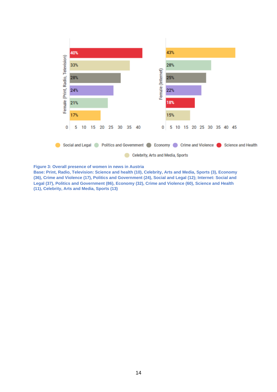

**Figure 3: Overall presence of women in news in Austria**

**Base: Print, Radio, Television: Science and health (10), Celebrity, Arts and Media, Sports (3), Economy (36), Crime and Violence (17), Politics and Government (24), Social and Legal (12); Internet: Social and Legal (37), Politics and Government (86), Economy (32), Crime and Violence (60), Science and Health (11), Celebrity, Arts and Media, Sports (13)**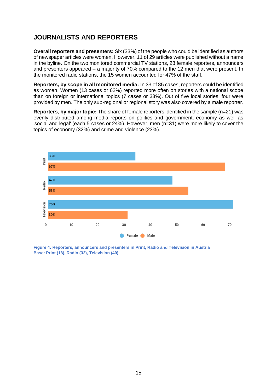# <span id="page-14-0"></span>**JOURNALISTS AND REPORTERS**

**Overall reporters and presenters:** Six (33%) of the people who could be identified as authors of newspaper articles were women. However, 11 of 29 articles were published without a name in the byline. On the two monitored commercial TV stations, 28 female reporters, announcers and presenters appeared – a majority of 70% compared to the 12 men that were present. In the monitored radio stations, the 15 women accounted for 47% of the staff.

**Reporters, by scope in all monitored media:** In 33 of 85 cases, reporters could be identified as women. Women (13 cases or 62%) reported more often on stories with a national scope than on foreign or international topics (7 cases or 33%). Out of five local stories, four were provided by men. The only sub-regional or regional story was also covered by a male reporter.

**Reporters, by major topic:** The share of female reporters identified in the sample (n=21) was evenly distributed among media reports on politics and government, economy as well as 'social and legal' (each 5 cases or 24%). However, men (n=31) were more likely to cover the topics of economy (32%) and crime and violence (23%).



**Figure 4: Reporters, announcers and presenters in Print, Radio and Television in Austria Base: Print (18), Radio (32), Television (40)**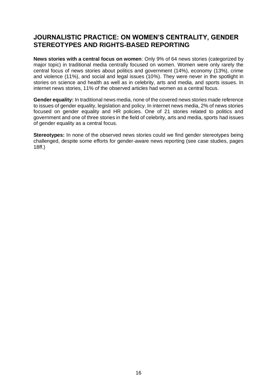# <span id="page-15-0"></span>**JOURNALISTIC PRACTICE: ON WOMEN'S CENTRALITY, GENDER STEREOTYPES AND RIGHTS-BASED REPORTING**

**News stories with a central focus on women**: Only 9% of 64 news stories (categorized by major topic) in traditional media centrally focused on women. Women were only rarely the central focus of news stories about politics and government (14%), economy (13%), crime and violence (11%), and social and legal issues (10%). They were never in the spotlight in stories on science and health as well as in celebrity, arts and media, and sports issues. In internet news stories, 11% of the observed articles had women as a central focus.

**Gender equality:** In traditional news media, none of the covered news stories made reference to issues of gender equality, legislation and policy. In internet news media, 2% of news stories focused on gender equality and HR policies. One of 21 stories related to politics and government and one of three stories in the field of celebrity, arts and media, sports had issues of gender equality as a central focus.

**Stereotypes:** In none of the observed news stories could we find gender stereotypes being challenged, despite some efforts for gender-aware news reporting (see case studies, pages 18ff.)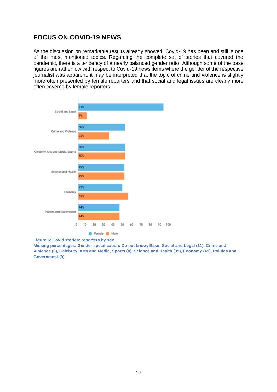# <span id="page-16-0"></span>**FOCUS ON COVID-19 NEWS**

As the discussion on remarkable results already showed, Covid-19 has been and still is one of the most mentioned topics. Regarding the complete set of stories that covered the pandemic, there is a tendency of a nearly balanced gender ratio. Although some of the base figures are rather low with respect to Covid-19 news items where the gender of the respective journalist was apparent, it may be interpreted that the topic of crime and violence is slightly more often presented by female reporters and that social and legal issues are clearly more often covered by female reporters.





**Missing percentages: Gender specification: Do not know; Base: Social and Legal (11), Crime and Violence (6), Celebrity, Arts and Media, Sports (8), Science and Health (35), Economy (49), Politics and Government (9)**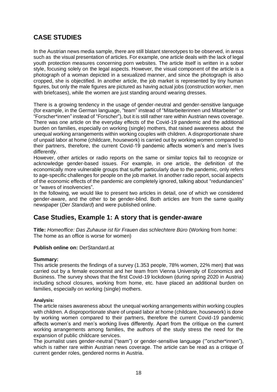# <span id="page-17-0"></span>**CASE STUDIES**

In the Austrian news media sample, there are still blatant stereotypes to be observed, in areas such as the visual presentation of articles. For example, one article deals with the lack of legal youth protection measures concerning porn websites. The article itself is written in a sober style, focusing solely on the legal aspects. However, the visual component of the article is a photograph of a woman depicted in a sexualized manner, and since the photograph is also cropped, she is objectified. In another article, the job market is represented by tiny human figures, but only the male figures are pictured as having actual jobs (construction worker, men with briefcases), while the women are just standing around wearing dresses.

There is a growing tendency in the usage of gender-neutral and gender-sensitive language (for example, in the German language, "team" instead of "Mitarbeiterinnen und Mitarbeiter" or "Forscher\*innen" instead of "Forscher"), but it is still rather rare within Austrian news coverage. There was one article on the everyday effects of the Covid-19 pandemic and the additional burden on families, especially on working (single) mothers, that raised awareness about the unequal working arrangements within working couples with children. A disproportionate share of unpaid labor at home (childcare, housework) is carried out by working women compared to their partners, therefore, the current Covid-19 pandemic affects women's and men's lives differently.

However, other articles or radio reports on the same or similar topics fail to recognize or acknowledge gender-based issues. For example, in one article, the definition of the economically more vulnerable groups that suffer particularly due to the pandemic, only refers to age-specific challenges for people on the job market. In another radio report, social aspects of the economic effects of the pandemic are completely ignored, talking about "redundancies" or "waves of insolvencies".

In the following, we would like to present two articles in detail, one of which we considered gender-aware, and the other to be gender-blind. Both articles are from the same quality newspaper (*Der Standard*) and were published online.

# **Case Studies, Example 1: A story that is gender-aware**

**Title:** *Homeoffice: Das Zuhause ist für Frauen das schlechtere Büro* (Working from home: The home as an office is worse for women)

# **Publish online on:** DerStandard.at

# **Summary:**

This article presents the findings of a survey (1.353 people, 78% women, 22% men) that was carried out by a female economist and her team from Vienna University of Economics and Business. The survey shows that the first Covid-19 lockdown (during spring 2020 in Austria) including school closures, working from home, etc. have placed an additional burden on families, especially on working (single) mothers.

#### **Analysis:**

The article raises awareness about the unequal working arrangements within working couples with children. A disproportionate share of unpaid labor at home (childcare, housework) is done by working women compared to their partners, therefore the current Covid-19 pandemic affects women's and men's working lives differently. Apart from the critique on the current working arrangements among families, the authors of the study stress the need for the expansion of public childcare services.

The journalist uses gender-neutral ("team") or gender-sensitive language ('"orscher\*innen"), which is rather rare within Austrian news coverage. The article can be read as a critique of current gender roles, gendered norms in Austria.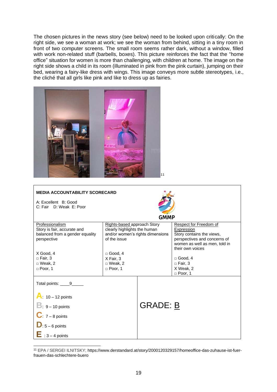The chosen pictures in the news story (see below) need to be looked upon critically: On the right side, we see a woman at work; we see the woman from behind, sitting in a tiny room in front of two computer screens. The small room seems rather dark, without a window, filled with work non-related stuff (barbells, boxes). This picture reinforces the fact that the "home office" situation for women is more than challenging, with children at home. The image on the right side shows a child in its room (illuminated in pink from the pink curtain), jumping on their bed, wearing a fairy-like dress with wings. This image conveys more subtle stereotypes, i.e., the cliché that all girls like pink and like to dress up as fairies.



| <b>MEDIA ACCOUNTABILITY SCORECARD</b>                                             |                                                                                                 |                 |                                                                                   |  |
|-----------------------------------------------------------------------------------|-------------------------------------------------------------------------------------------------|-----------------|-----------------------------------------------------------------------------------|--|
| A: Excellent B: Good                                                              |                                                                                                 |                 |                                                                                   |  |
| C: Fair D: Weak E: Poor                                                           |                                                                                                 |                 |                                                                                   |  |
| GMMP                                                                              |                                                                                                 |                 |                                                                                   |  |
| Professionalism<br>Story is fair, accurate and<br>balanced from a gender equality | Rights-based approach Story<br>clearly highlights the human<br>and/or women's rights dimensions |                 | Respect for Freedom of<br>Expression<br>Story contains the views,                 |  |
| perspective                                                                       | of the issue                                                                                    |                 | perspectives and concerns of<br>women as well as men, told in<br>their own voices |  |
| X Good, 4<br>$\Box$ Fair, 3                                                       | $\Box$ Good, 4<br>X Fair, 3                                                                     |                 | $\Box$ Good, 4                                                                    |  |
| $\Box$ Weak, 2                                                                    | $\Box$ Weak, 2                                                                                  |                 | $\Box$ Fair, 3                                                                    |  |
| $\Box$ Poor, 1                                                                    | $\Box$ Poor, 1                                                                                  |                 | X Weak, 2<br>$\Box$ Poor, 1                                                       |  |
| Total points: 9_____                                                              |                                                                                                 |                 |                                                                                   |  |
| $A: 10 - 12$ points                                                               |                                                                                                 |                 |                                                                                   |  |
| $\mathbf{B}$ : 9 – 10 points                                                      |                                                                                                 | <b>GRADE: B</b> |                                                                                   |  |
| $\mathbf{C}$ . 7 – 8 points                                                       |                                                                                                 |                 |                                                                                   |  |
| $\mathbf{D}$ 5 – 6 points                                                         |                                                                                                 |                 |                                                                                   |  |
| $\mathbf{E}$ : 3 – 4 points                                                       |                                                                                                 |                 |                                                                                   |  |

<sup>11</sup> EPA / SERGEI ILNITSKY; https://www.derstandard.at/story/2000120329157/homeoffice-das-zuhause-ist-fuerfrauen-das-schlechtere-buero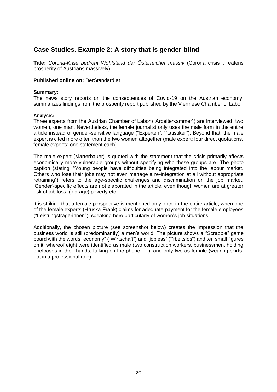# **Case Studies. Example 2: A story that is gender-blind**

**Title:** *Corona-Krise bedroht Wohlstand der Österreicher massiv* (Corona crisis threatens prosperity of Austrians massively)

#### **Published online on:** DerStandard.at

#### **Summary:**

The news story reports on the consequences of Covid-19 on the Austrian economy, summarizes findings from the prosperity report published by the Viennese Chamber of Labor.

#### **Analysis:**

Three experts from the Austrian Chamber of Labor ("Arbeiterkammer") are interviewed: two women, one man. Nevertheless, the female journalist only uses the male form in the entire article instead of gender-sensitive language ("Experten", '"tatistiker"). Beyond that, the male expert is cited more often than the two women altogether (male expert: four direct quotations, female experts: one statement each).

The male expert (Marterbauer) is quoted with the statement that the crisis primarily affects economically more vulnerable groups without specifying who these groups are. The photo caption (stating: "Young people have difficulties being integrated into the labour market. Others who lose their jobs may not even manage a re-integration at all without appropriate retraining") refers to the age-specific challenges and discrimination on the job market. 'Gender'-specific effects are not elaborated in the article, even though women are at greater risk of job loss, (old-age) poverty etc.

It is striking that a female perspective is mentioned only once in the entire article, when one of the female experts (Hruska-Frank) claims for adequate payment for the female employees ("Leistungsträgerinnen"), speaking here particularly of women's job situations.

Additionally, the chosen picture (see screenshot below) creates the impression that the business world is still (predominantly) a men's world. The picture shows a "Scrabble" game board with the words "economy" ("Wirtschaft") and "jobless" ('"rbeitslos") and ten small figures on it, whereof eight were identified as male (two construction workers, businessmen, holding briefcases in their hands, talking on the phone, …), and only two as female (wearing skirts, not in a professional role).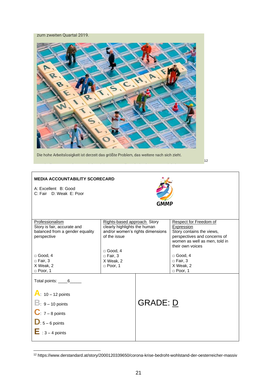zum zweiten Quartal 2019.



Die hohe Arbeitslosigkeit ist derzeit das größte Problem, das weitere nach sich zieht.

 $12$ 

#### **MEDIA ACCOUNTABILITY SCORECARD** A: Excellent B: Good C: Fair D: Weak E: Poor **Professionalism** Story is fair, accurate and balanced from a gender equality perspective  $\Box$  Good, 4  $\square$  Fair, 3 X Weak, 2 □ Poor, 1 Rights-based approach Story clearly highlights the human and/or women's rights dimensions of the issue □ Good, 4 □ Fair, 3 X Weak, 2 □ Poor, 1 Respect for Freedom of **Expression** Story contains the views, perspectives and concerns of women as well as men, told in their own voices  $\Box$  Good, 4  $\square$  Fair, 3 X Weak, 2  $\Box$  Poor, 1 Total points: \_\_\_\_\_6\_\_\_\_\_\_ **A**: 10 – 12 points **B**: 9 – 10 points  $C: 7 - 8$  points  $D: 5 - 6$  points  $\mathbf{E}$  : 3 – 4 points GRADE: D

<sup>12</sup> https://www.derstandard.at/story/2000120339650/corona-krise-bedroht-wohlstand-der-oesterreicher-massiv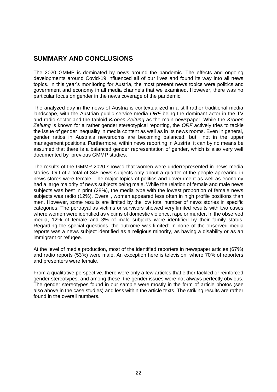# <span id="page-21-0"></span>**SUMMARY AND CONCLUSIONS**

The 2020 GMMP is dominated by news around the pandemic. The effects and ongoing developments around Covid-19 influenced all of our lives and found its way into all news topics. In this year's monitoring for Austria, the most present news topics were politics and government and economy in all media channels that we examined. However, there was no particular focus on gender in the news coverage of the pandemic.

The analyzed day in the news of Austria is contextualized in a still rather traditional media landscape, with the Austrian public service media *ORF* being the dominant actor in the TV and radio-sector and the tabloid *Kronen Zeitung* as the main newspaper. While the *Kronen Zeitung* is known for a rather gender stereotypical reporting, the *ORF* actively tries to tackle the issue of gender inequality in media content as well as in its news rooms. Even in general, gender ratios in Austria's newsrooms are becoming balanced, but not in the upper management positions. Furthermore, within news reporting in Austria, it can by no means be assumed that there is a balanced gender representation of gender, which is also very well documented by previous GMMP studies.

The results of the GMMP 2020 showed that women were underrepresented in news media stories. Out of a total of 345 news subjects only about a quarter of the people appearing in news stores were female. The major topics of politics and government as well as economy had a large majority of news subjects being male. While the relation of female and male news subjects was best in print (28%), the media type with the lowest proportion of female news subjects was radio (12%). Overall, women appeared less often in high profile positions than men. However, some results are limited by the low total number of news stories in specific categories. The portrayal as victims or survivors showed very limited results with two cases where women were identified as victims of domestic violence, rape or murder. In the observed media, 12% of female and 3% of male subjects were identified by their family status. Regarding the special questions, the outcome was limited: In none of the observed media reports was a news subject identified as a religious minority, as having a disability or as an immigrant or refugee.

At the level of media production, most of the identified reporters in newspaper articles (67%) and radio reports (53%) were male. An exception here is television, where 70% of reporters and presenters were female.

From a qualitative perspective, there were only a few articles that either tackled or reinforced gender stereotypes, and among these, the gender issues were not always perfectly obvious. The gender stereotypes found in our sample were mostly in the form of article photos (see also above in the case studies) and less within the article texts. The striking results are rather found in the overall numbers.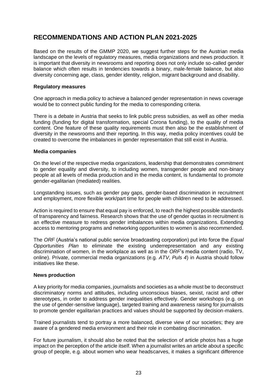# <span id="page-22-0"></span>**RECOMMENDATIONS AND ACTION PLAN 2021-2025**

Based on the results of the GMMP 2020, we suggest further steps for the Austrian media landscape on the levels of regulatory measures, media organizations and news production. It is important that diversity in newsrooms and reporting does not only include so-called gender balance which often results in tendencies towards a binary, male-female balance, but also diversity concerning age, class, gender identity, religion, migrant background and disability.

#### **Regulatory measures**

One approach in media policy to achieve a balanced gender representation in news coverage would be to connect public funding for the media to corresponding criteria.

There is a debate in Austria that seeks to link public press subsidies, as well as other media funding (funding for digital transformation, special Corona funding), to the quality of media content. One feature of these quality requirements must then also be the establishment of diversity in the newsrooms and their reporting. In this way, media policy incentives could be created to overcome the imbalances in gender representation that still exist in Austria.

#### **Media companies**

On the level of the respective media organizations, leadership that demonstrates commitment to gender equality and diversity, to including women, transgender people and non-binary people at all levels of media production and in the media content, is fundamental to promote gender-egalitarian (mediated) realities.

Longstanding issues, such as gender pay gaps, gender-based discrimination in recruitment and employment, more flexible work/part time for people with children need to be addressed.

Action is required to ensure that equal pay is enforced, to reach the highest possible standards of transparency and fairness. Research shows that the use of gender quotas in recruitment is an effective measure to redress gender imbalances within media organizations. Extending access to mentoring programs and networking opportunities to women is also recommended.

The *ORF* (Austria's national public service broadcasting corporation) put into force the *Equal Opportunities Plan* to eliminate the existing underrepresentation and any existing discrimination of women, in the workplace as well as in the *ORF*'s media content (radio, TV, online). Private, commercial media organizations (e.g. *ATV*, *Puls 4*) in Austria should follow initiatives like these.

#### **News production**

A key priority for media companies, journalists and societies as a whole must be to deconstruct discriminatory norms and attitudes, including unconscious biases, sexist, racist and other stereotypes, in order to address gender inequalities effectively. Gender workshops (e.g. on the use of gender-sensitive language), targeted training and awareness raising for journalists to promote gender egalitarian practices and values should be supported by decision-makers.

Trained journalists tend to portray a more balanced, diverse view of our societies; they are aware of a gendered media environment and their role in combating discrimination.

For future journalism, it should also be noted that the selection of article photos has a huge impact on the perception of the article itself. When a journalist writes an article about a specific group of people, e.g. about women who wear headscarves, it makes a significant difference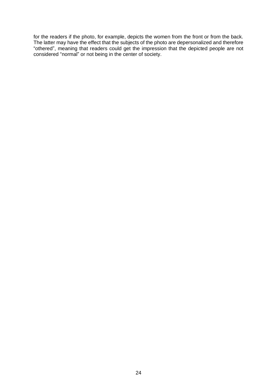for the readers if the photo, for example, depicts the women from the front or from the back. The latter may have the effect that the subjects of the photo are depersonalized and therefore "othered", meaning that readers could get the impression that the depicted people are not considered "normal" or not being in the center of society.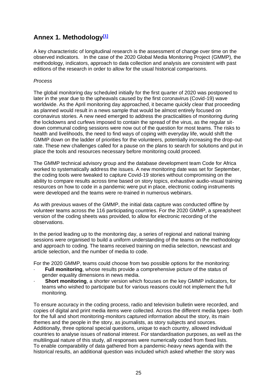# <span id="page-24-0"></span>**Annex 1. Methodology[\[1\]](applewebdata://B985EFDA-D05F-4563-AA1F-21840C615986/#_ftn1)**

A key characteristic of longitudinal research is the assessment of change over time on the observed indicators. In the case of the 2020 Global Media Monitoring Project (GMMP), the methodology, indicators, approach to data collection and analysis are consistent with past editions of the research in order to allow for the usual historical comparisons.

# *Process*

The global monitoring day scheduled initially for the first quarter of 2020 was postponed to later in the year due to the upheavals caused by the first coronavirus (Covid-19) wave worldwide. As the April monitoring day approached, it became quickly clear that proceeding as planned would result in a news sample that would be almost entirely focused on coronavirus stories. A new need emerged to address the practicalities of monitoring during the lockdowns and curfews imposed to contain the spread of the virus, as the regular sitdown communal coding sessions were now out of the question for most teams. The risks to health and livelihoods, the need to find ways of coping with everyday life, would shift the GMMP down on the ladder of priorities for the volunteers, potentially increasing the drop-out rate. These new challenges called for a pause on the plans to search for solutions and put in place the tools and resources necessary before monitoring could proceed.

The GMMP technical advisory group and the database development team Code for Africa worked to systematically address the issues. A new monitoring date was set for September, the coding tools were tweaked to capture Covid-19 stories without compromising on the ability to compare results across time based on story topics, exhaustive audio-visual training resources on how to code in a pandemic were put in place, electronic coding instruments were developed and the teams were re-trained in numerous webinars.

As with previous waves of the GMMP, the initial data capture was conducted offline by volunteer teams across the 116 participating countries. For the 2020 GMMP, a spreadsheet version of the coding sheets was provided, to allow for electronic recording of the observations.

In the period leading up to the monitoring day, a series of regional and national training sessions were organised to build a uniform understanding of the teams on the methodology and approach to coding. The teams received training on media selection, newscast and article selection, and the number of media to code.

For the 2020 GMMP, teams could choose from two possible options for the monitoring:

- · **Full monitoring**, whose results provide a comprehensive picture of the status of gender equality dimensions in news media.
- **Short monitoring**, a shorter version which focuses on the key GMMP indicators, for teams who wished to participate but for various reasons could not implement the full monitoring.

To ensure accuracy in the coding process, radio and television bulletin were recorded, and copies of digital and print media items were collected. Across the different media types- both for the full and short monitoring-monitors captured information about the story, its main themes and the people in the story, as journalists, as story subjects and sources. Additionally, three optional special questions, unique to each country, allowed individual countries to analyse issues of national interest. For standardisation purposes, as well as the multilingual nature of this study, all responses were numerically coded from fixed lists. To enable comparability of data gathered from a pandemic-heavy news agenda with the historical results, an additional question was included which asked whether the story was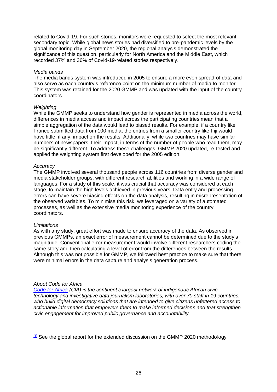related to Covid-19. For such stories, monitors were requested to select the most relevant secondary topic. While global news stories had diversified to pre-pandemic levels by the global monitoring day in September 2020, the regional analysis demonstrated the significance of this question, particularly for North America and the Middle East, which recorded 37% and 36% of Covid-19-related stories respectively.

#### *Media bands*

The media bands system was introduced in 2005 to ensure a more even spread of data and also serve as each country's reference point on the minimum number of media to monitor. This system was retained for the 2020 GMMP and was updated with the input of the country coordinators.

#### *Weighting*

While the GMMP seeks to understand how gender is represented in media across the world, differences in media access and impact across the participating countries mean that a simple aggregation of the data would lead to biased results. For example, if a country like France submitted data from 100 media, the entries from a smaller country like Fiji would have little, if any, impact on the results. Additionally, while two countries may have similar numbers of newspapers, their impact, in terms of the number of people who read them, may be significantly different. To address these challenges, GMMP 2020 updated, re-tested and applied the weighting system first developed for the 2005 edition.

#### *Accuracy*

The GMMP involved several thousand people across 116 countries from diverse gender and media stakeholder groups, with different research abilities and working in a wide range of languages. For a study of this scale, it was crucial that accuracy was considered at each stage, to maintain the high levels achieved in previous years. Data entry and processing errors can have severe biasing effects on the data analysis, resulting in misrepresentation of the observed variables. To minimise this risk, we leveraged on a variety of automated processes, as well as the extensive media monitoring experience of the country coordinators.

#### *Limitations*

As with any study, great effort was made to ensure accuracy of the data. As observed in previous GMMPs, an exact error of measurement cannot be determined due to the study's magnitude. Conventional error measurement would involve different researchers coding the same story and then calculating a level of error from the differences between the results. Although this was not possible for GMMP, we followed best practice to make sure that there were minimal errors in the data capture and analysis generation process.

#### *About Code for Africa*

*[Code for Africa](https://twitter.com/Code4Africa) (CfA) is the continent's largest network of indigenous African civic technology and investigative data journalism laboratories, with over 70 staff in 19 countries, who build digital democracy solutions that are intended to give citizens unfettered access to actionable information that empowers them to make informed decisions and that strengthen civic engagement for improved public governance and accountability.*

 $11$  See the global report for the extended discussion on the GMMP 2020 methodology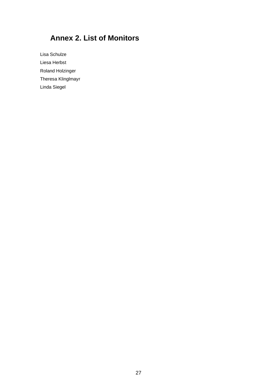# <span id="page-26-0"></span>**Annex 2. List of Monitors**

Lisa Schulze Liesa Herbst Roland Holzinger Theresa Klinglmayr Linda Siegel